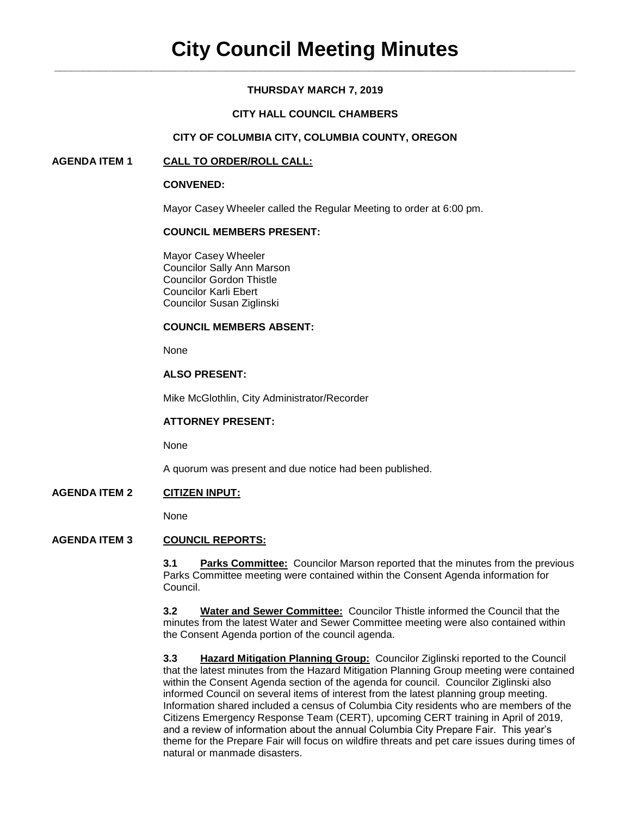## **THURSDAY MARCH 7, 2019**

## **CITY HALL COUNCIL CHAMBERS**

### **CITY OF COLUMBIA CITY, COLUMBIA COUNTY, OREGON**

### **AGENDA ITEM 1 CALL TO ORDER/ROLL CALL:**

### **CONVENED:**

Mayor Casey Wheeler called the Regular Meeting to order at 6:00 pm.

### **COUNCIL MEMBERS PRESENT:**

Mayor Casey Wheeler Councilor Sally Ann Marson Councilor Gordon Thistle Councilor Karli Ebert Councilor Susan Ziglinski

### **COUNCIL MEMBERS ABSENT:**

None

## **ALSO PRESENT:**

Mike McGlothlin, City Administrator/Recorder

### **ATTORNEY PRESENT:**

None

A quorum was present and due notice had been published.

## **AGENDA ITEM 2 CITIZEN INPUT:**

None

## **AGENDA ITEM 3 COUNCIL REPORTS:**

**3.1 Parks Committee:** Councilor Marson reported that the minutes from the previous Parks Committee meeting were contained within the Consent Agenda information for Council.

**3.2 Water and Sewer Committee:** Councilor Thistle informed the Council that the minutes from the latest Water and Sewer Committee meeting were also contained within the Consent Agenda portion of the council agenda.

**3.3 Hazard Mitigation Planning Group:** Councilor Ziglinski reported to the Council that the latest minutes from the Hazard Mitigation Planning Group meeting were contained within the Consent Agenda section of the agenda for council. Councilor Ziglinski also informed Council on several items of interest from the latest planning group meeting. Information shared included a census of Columbia City residents who are members of the Citizens Emergency Response Team (CERT), upcoming CERT training in April of 2019, and a review of information about the annual Columbia City Prepare Fair. This year's theme for the Prepare Fair will focus on wildfire threats and pet care issues during times of natural or manmade disasters.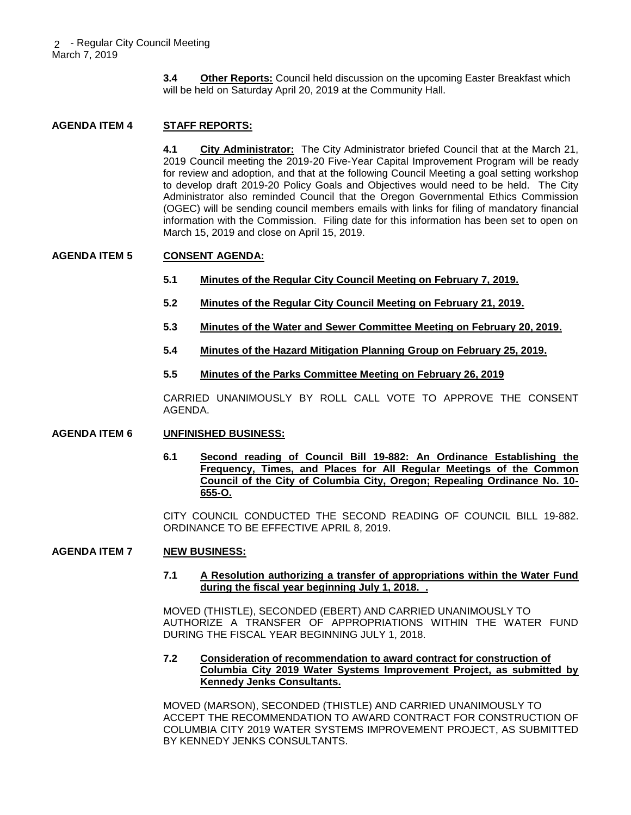**3.4 Other Reports:** Council held discussion on the upcoming Easter Breakfast which will be held on Saturday April 20, 2019 at the Community Hall.

# **AGENDA ITEM 4 STAFF REPORTS:**

**4.1 City Administrator:** The City Administrator briefed Council that at the March 21, 2019 Council meeting the 2019-20 Five-Year Capital Improvement Program will be ready for review and adoption, and that at the following Council Meeting a goal setting workshop to develop draft 2019-20 Policy Goals and Objectives would need to be held. The City Administrator also reminded Council that the Oregon Governmental Ethics Commission (OGEC) will be sending council members emails with links for filing of mandatory financial information with the Commission. Filing date for this information has been set to open on March 15, 2019 and close on April 15, 2019.

### **AGENDA ITEM 5 CONSENT AGENDA:**

- **5.1 Minutes of the Regular City Council Meeting on February 7, 2019.**
- **5.2 Minutes of the Regular City Council Meeting on February 21, 2019.**
- **5.3 Minutes of the Water and Sewer Committee Meeting on February 20, 2019.**
- **5.4 Minutes of the Hazard Mitigation Planning Group on February 25, 2019.**
- **5.5 Minutes of the Parks Committee Meeting on February 26, 2019**

CARRIED UNANIMOUSLY BY ROLL CALL VOTE TO APPROVE THE CONSENT AGENDA.

### **AGENDA ITEM 6 UNFINISHED BUSINESS:**

**6.1 Second reading of Council Bill 19-882: An Ordinance Establishing the Frequency, Times, and Places for All Regular Meetings of the Common Council of the City of Columbia City, Oregon; Repealing Ordinance No. 10- 655-O.**

CITY COUNCIL CONDUCTED THE SECOND READING OF COUNCIL BILL 19-882. ORDINANCE TO BE EFFECTIVE APRIL 8, 2019.

### **AGENDA ITEM 7 NEW BUSINESS:**

**7.1 A Resolution authorizing a transfer of appropriations within the Water Fund during the fiscal year beginning July 1, 2018. .**

MOVED (THISTLE), SECONDED (EBERT) AND CARRIED UNANIMOUSLY TO AUTHORIZE A TRANSFER OF APPROPRIATIONS WITHIN THE WATER FUND DURING THE FISCAL YEAR BEGINNING JULY 1, 2018.

### **7.2 Consideration of recommendation to award contract for construction of Columbia City 2019 Water Systems Improvement Project, as submitted by Kennedy Jenks Consultants.**

MOVED (MARSON), SECONDED (THISTLE) AND CARRIED UNANIMOUSLY TO ACCEPT THE RECOMMENDATION TO AWARD CONTRACT FOR CONSTRUCTION OF COLUMBIA CITY 2019 WATER SYSTEMS IMPROVEMENT PROJECT, AS SUBMITTED BY KENNEDY JENKS CONSULTANTS.